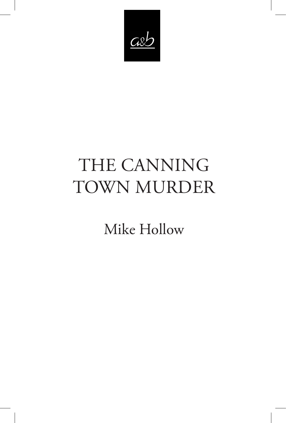

## THE CANNING TOWN MURDER

Mike Hollow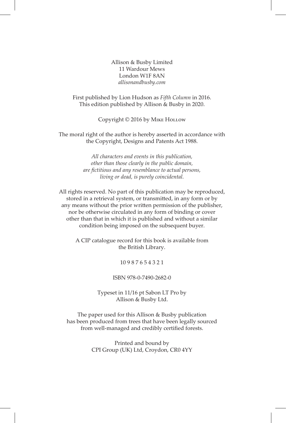Allison & Busby Limited 11 Wardour Mews London W1F 8AN *allisonandbusby.com*

First published by Lion Hudson as *Fifth Column* in 2016. This edition published by Allison & Busby in 2020.

Copyright © 2016 by Mike Hollow

The moral right of the author is hereby asserted in accordance with the Copyright, Designs and Patents Act 1988.

> *All characters and events in this publication, other than those clearly in the public domain, are fictitious and any resemblance to actual persons, living or dead, is purely coincidental.*

All rights reserved. No part of this publication may be reproduced, stored in a retrieval system, or transmitted, in any form or by any means without the prior written permission of the publisher, nor be otherwise circulated in any form of binding or cover other than that in which it is published and without a similar condition being imposed on the subsequent buyer.

A CIP catalogue record for this book is available from the British Library.

10 9 8 7 6 5 4 3 2 1

ISBN 978-0-7490-2682-0

Typeset in 11/16 pt Sabon LT Pro by Allison & Busby Ltd.

The paper used for this Allison & Busby publication has been produced from trees that have been legally sourced from well-managed and credibly certified forests.

> Printed and bound by CPI Group (UK) Ltd, Croydon, CR0 4YY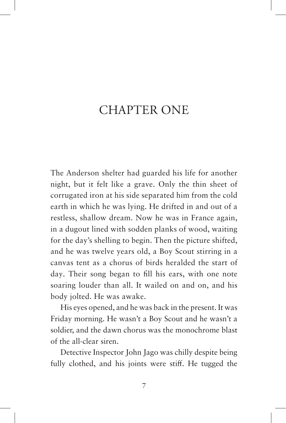## CHAPTER ONE

The Anderson shelter had guarded his life for another night, but it felt like a grave. Only the thin sheet of corrugated iron at his side separated him from the cold earth in which he was lying. He drifted in and out of a restless, shallow dream. Now he was in France again, in a dugout lined with sodden planks of wood, waiting for the day's shelling to begin. Then the picture shifted, and he was twelve years old, a Boy Scout stirring in a canvas tent as a chorus of birds heralded the start of day. Their song began to fill his ears, with one note soaring louder than all. It wailed on and on, and his body jolted. He was awake.

His eyes opened, and he was back in the present. It was Friday morning. He wasn't a Boy Scout and he wasn't a soldier, and the dawn chorus was the monochrome blast of the all-clear siren.

Detective Inspector John Jago was chilly despite being fully clothed, and his joints were stiff. He tugged the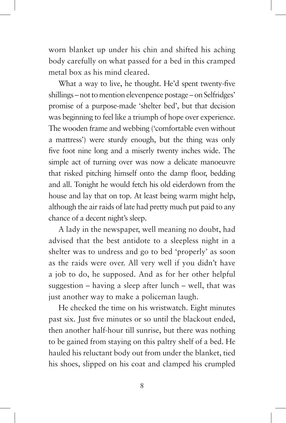worn blanket up under his chin and shifted his aching body carefully on what passed for a bed in this cramped metal box as his mind cleared.

What a way to live, he thought. He'd spent twenty-five shillings – not to mention elevenpence postage – on Selfridges' promise of a purpose-made 'shelter bed', but that decision was beginning to feel like a triumph of hope over experience. The wooden frame and webbing ('comfortable even without a mattress') were sturdy enough, but the thing was only five foot nine long and a miserly twenty inches wide. The simple act of turning over was now a delicate manoeuvre that risked pitching himself onto the damp floor, bedding and all. Tonight he would fetch his old eiderdown from the house and lay that on top. At least being warm might help, although the air raids of late had pretty much put paid to any chance of a decent night's sleep.

A lady in the newspaper, well meaning no doubt, had advised that the best antidote to a sleepless night in a shelter was to undress and go to bed 'properly' as soon as the raids were over. All very well if you didn't have a job to do, he supposed. And as for her other helpful suggestion – having a sleep after lunch – well, that was just another way to make a policeman laugh.

He checked the time on his wristwatch. Eight minutes past six. Just five minutes or so until the blackout ended, then another half-hour till sunrise, but there was nothing to be gained from staying on this paltry shelf of a bed. He hauled his reluctant body out from under the blanket, tied his shoes, slipped on his coat and clamped his crumpled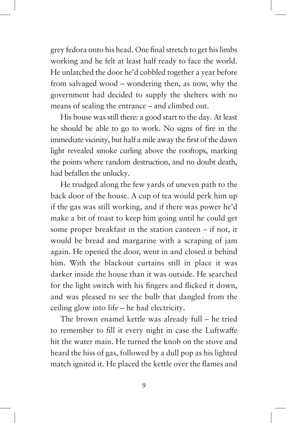grey fedora onto his head. One final stretch to get his limbs working and he felt at least half ready to face the world. He unlatched the door he'd cobbled together a year before from salvaged wood – wondering then, as now, why the government had decided to supply the shelters with no means of sealing the entrance – and climbed out.

His house was still there: a good start to the day. At least he should be able to go to work. No signs of fire in the immediate vicinity, but half a mile away the first of the dawn light revealed smoke curling above the rooftops, marking the points where random destruction, and no doubt death, had befallen the unlucky.

He trudged along the few yards of uneven path to the back door of the house. A cup of tea would perk him up if the gas was still working, and if there was power he'd make a bit of toast to keep him going until he could get some proper breakfast in the station canteen – if not, it would be bread and margarine with a scraping of jam again. He opened the door, went in and closed it behind him. With the blackout curtains still in place it was darker inside the house than it was outside. He searched for the light switch with his fingers and flicked it down, and was pleased to see the bulb that dangled from the ceiling glow into life – he had electricity.

The brown enamel kettle was already full – he tried to remember to fill it every night in case the Luftwaffe hit the water main. He turned the knob on the stove and heard the hiss of gas, followed by a dull pop as his lighted match ignited it. He placed the kettle over the flames and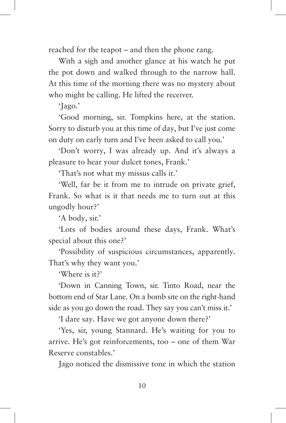reached for the teapot – and then the phone rang.

With a sigh and another glance at his watch he put the pot down and walked through to the narrow hall. At this time of the morning there was no mystery about who might be calling. He lifted the receiver.

'Jago.'

'Good morning, sir. Tompkins here, at the station. Sorry to disturb you at this time of day, but I've just come on duty on early turn and I've been asked to call you.'

'Don't worry, I was already up. And it's always a pleasure to hear your dulcet tones, Frank.'

'That's not what my missus calls it.'

'Well, far be it from me to intrude on private grief, Frank. So what is it that needs me to turn out at this ungodly hour?'

'A body, sir.'

'Lots of bodies around these days, Frank. What's special about this one?'

'Possibility of suspicious circumstances, apparently. That's why they want you.'

'Where is it?'

'Down in Canning Town, sir. Tinto Road, near the bottom end of Star Lane. On a bomb site on the right-hand side as you go down the road. They say you can't miss it.'

'I dare say. Have we got anyone down there?'

'Yes, sir, young Stannard. He's waiting for you to arrive. He's got reinforcements, too – one of them War Reserve constables.'

Jago noticed the dismissive tone in which the station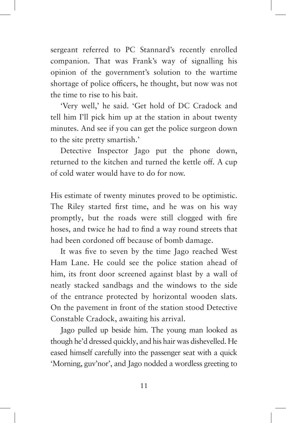sergeant referred to PC Stannard's recently enrolled companion. That was Frank's way of signalling his opinion of the government's solution to the wartime shortage of police officers, he thought, but now was not the time to rise to his bait.

'Very well,' he said. 'Get hold of DC Cradock and tell him I'll pick him up at the station in about twenty minutes. And see if you can get the police surgeon down to the site pretty smartish.'

Detective Inspector Jago put the phone down, returned to the kitchen and turned the kettle off. A cup of cold water would have to do for now.

His estimate of twenty minutes proved to be optimistic. The Riley started first time, and he was on his way promptly, but the roads were still clogged with fire hoses, and twice he had to find a way round streets that had been cordoned off because of bomb damage.

It was five to seven by the time Jago reached West Ham Lane. He could see the police station ahead of him, its front door screened against blast by a wall of neatly stacked sandbags and the windows to the side of the entrance protected by horizontal wooden slats. On the pavement in front of the station stood Detective Constable Cradock, awaiting his arrival.

Jago pulled up beside him. The young man looked as though he'd dressed quickly, and his hair was dishevelled. He eased himself carefully into the passenger seat with a quick 'Morning, guv'nor', and Jago nodded a wordless greeting to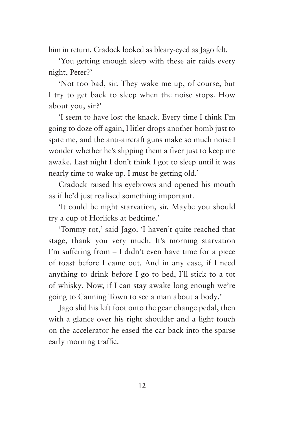him in return. Cradock looked as bleary-eyed as Jago felt.

'You getting enough sleep with these air raids every night, Peter?'

'Not too bad, sir. They wake me up, of course, but I try to get back to sleep when the noise stops. How about you, sir?'

'I seem to have lost the knack. Every time I think I'm going to doze off again, Hitler drops another bomb just to spite me, and the anti-aircraft guns make so much noise I wonder whether he's slipping them a fiver just to keep me awake. Last night I don't think I got to sleep until it was nearly time to wake up. I must be getting old.'

Cradock raised his eyebrows and opened his mouth as if he'd just realised something important.

'It could be night starvation, sir. Maybe you should try a cup of Horlicks at bedtime.'

'Tommy rot,' said Jago. 'I haven't quite reached that stage, thank you very much. It's morning starvation I'm suffering from – I didn't even have time for a piece of toast before I came out. And in any case, if I need anything to drink before I go to bed, I'll stick to a tot of whisky. Now, if I can stay awake long enough we're going to Canning Town to see a man about a body.'

Jago slid his left foot onto the gear change pedal, then with a glance over his right shoulder and a light touch on the accelerator he eased the car back into the sparse early morning traffic.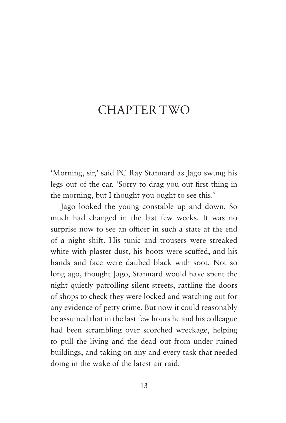## CHAPTER TWO

'Morning, sir,' said PC Ray Stannard as Jago swung his legs out of the car. 'Sorry to drag you out first thing in the morning, but I thought you ought to see this.'

Jago looked the young constable up and down. So much had changed in the last few weeks. It was no surprise now to see an officer in such a state at the end of a night shift. His tunic and trousers were streaked white with plaster dust, his boots were scuffed, and his hands and face were daubed black with soot. Not so long ago, thought Jago, Stannard would have spent the night quietly patrolling silent streets, rattling the doors of shops to check they were locked and watching out for any evidence of petty crime. But now it could reasonably be assumed that in the last few hours he and his colleague had been scrambling over scorched wreckage, helping to pull the living and the dead out from under ruined buildings, and taking on any and every task that needed doing in the wake of the latest air raid.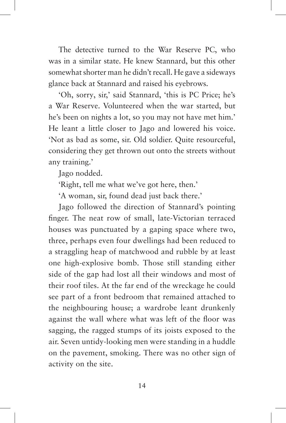The detective turned to the War Reserve PC, who was in a similar state. He knew Stannard, but this other somewhat shorter man he didn't recall. He gave a sideways glance back at Stannard and raised his eyebrows.

'Oh, sorry, sir,' said Stannard, 'this is PC Price; he's a War Reserve. Volunteered when the war started, but he's been on nights a lot, so you may not have met him.' He leant a little closer to Jago and lowered his voice. 'Not as bad as some, sir. Old soldier. Quite resourceful, considering they get thrown out onto the streets without any training.'

Jago nodded.

'Right, tell me what we've got here, then.'

'A woman, sir, found dead just back there.'

Jago followed the direction of Stannard's pointing finger. The neat row of small, late-Victorian terraced houses was punctuated by a gaping space where two, three, perhaps even four dwellings had been reduced to a straggling heap of matchwood and rubble by at least one high-explosive bomb. Those still standing either side of the gap had lost all their windows and most of their roof tiles. At the far end of the wreckage he could see part of a front bedroom that remained attached to the neighbouring house; a wardrobe leant drunkenly against the wall where what was left of the floor was sagging, the ragged stumps of its joists exposed to the air. Seven untidy-looking men were standing in a huddle on the pavement, smoking. There was no other sign of activity on the site.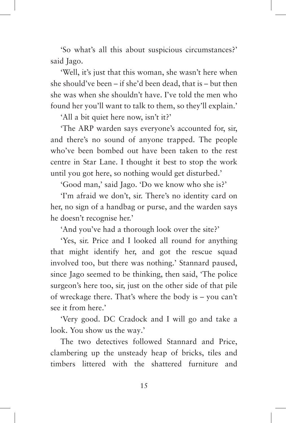'So what's all this about suspicious circumstances?' said Jago.

'Well, it's just that this woman, she wasn't here when she should've been – if she'd been dead, that is – but then she was when she shouldn't have. I've told the men who found her you'll want to talk to them, so they'll explain.'

'All a bit quiet here now, isn't it?'

'The ARP warden says everyone's accounted for, sir, and there's no sound of anyone trapped. The people who've been bombed out have been taken to the rest centre in Star Lane. I thought it best to stop the work until you got here, so nothing would get disturbed.'

'Good man,' said Jago. 'Do we know who she is?'

'I'm afraid we don't, sir. There's no identity card on her, no sign of a handbag or purse, and the warden says he doesn't recognise her.'

'And you've had a thorough look over the site?'

'Yes, sir. Price and I looked all round for anything that might identify her, and got the rescue squad involved too, but there was nothing.' Stannard paused, since Jago seemed to be thinking, then said, 'The police surgeon's here too, sir, just on the other side of that pile of wreckage there. That's where the body is – you can't see it from here.'

'Very good. DC Cradock and I will go and take a look. You show us the way.'

The two detectives followed Stannard and Price, clambering up the unsteady heap of bricks, tiles and timbers littered with the shattered furniture and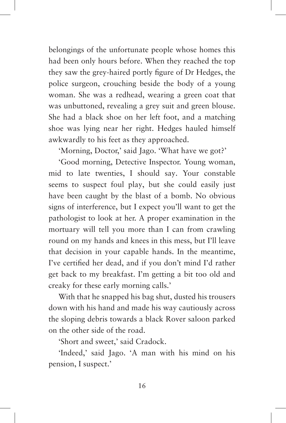belongings of the unfortunate people whose homes this had been only hours before. When they reached the top they saw the grey-haired portly figure of Dr Hedges, the police surgeon, crouching beside the body of a young woman. She was a redhead, wearing a green coat that was unbuttoned, revealing a grey suit and green blouse. She had a black shoe on her left foot, and a matching shoe was lying near her right. Hedges hauled himself awkwardly to his feet as they approached.

'Morning, Doctor,' said Jago. 'What have we got?'

'Good morning, Detective Inspector. Young woman, mid to late twenties, I should say. Your constable seems to suspect foul play, but she could easily just have been caught by the blast of a bomb. No obvious signs of interference, but I expect you'll want to get the pathologist to look at her. A proper examination in the mortuary will tell you more than I can from crawling round on my hands and knees in this mess, but I'll leave that decision in your capable hands. In the meantime, I've certified her dead, and if you don't mind I'd rather get back to my breakfast. I'm getting a bit too old and creaky for these early morning calls.'

With that he snapped his bag shut, dusted his trousers down with his hand and made his way cautiously across the sloping debris towards a black Rover saloon parked on the other side of the road.

'Short and sweet,' said Cradock.

'Indeed,' said Jago. 'A man with his mind on his pension, I suspect.'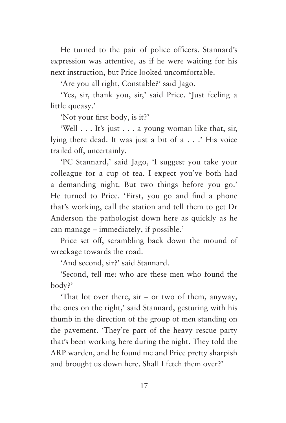He turned to the pair of police officers. Stannard's expression was attentive, as if he were waiting for his next instruction, but Price looked uncomfortable.

'Are you all right, Constable?' said Jago.

'Yes, sir, thank you, sir,' said Price. 'Just feeling a little queasy.'

'Not your first body, is it?'

'Well . . . It's just . . . a young woman like that, sir, lying there dead. It was just a bit of a . . .' His voice trailed off, uncertainly.

'PC Stannard,' said Jago, 'I suggest you take your colleague for a cup of tea. I expect you've both had a demanding night. But two things before you go.' He turned to Price. 'First, you go and find a phone that's working, call the station and tell them to get Dr Anderson the pathologist down here as quickly as he can manage – immediately, if possible.'

Price set off, scrambling back down the mound of wreckage towards the road.

'And second, sir?' said Stannard.

'Second, tell me: who are these men who found the body?'

'That lot over there, sir – or two of them, anyway, the ones on the right,' said Stannard, gesturing with his thumb in the direction of the group of men standing on the pavement. 'They're part of the heavy rescue party that's been working here during the night. They told the ARP warden, and he found me and Price pretty sharpish and brought us down here. Shall I fetch them over?'